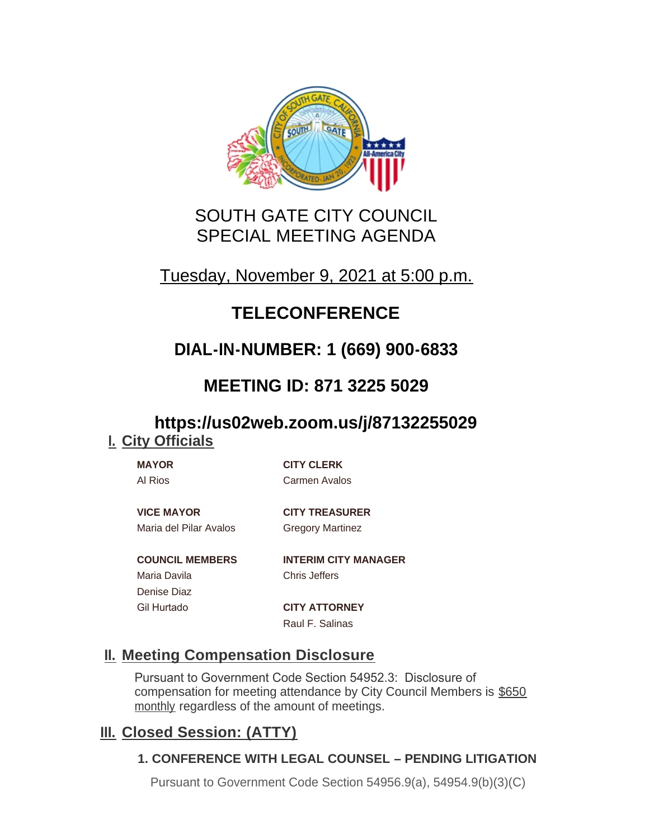

# SOUTH GATE CITY COUNCIL SPECIAL MEETING AGENDA

# Tuesday, November 9, 2021 at 5:00 p.m.

# **TELECONFERENCE**

# **DIAL-IN-NUMBER: 1 (669) 900-6833**

# **MEETING ID: 871 3225 5029**

## **https://us02web.zoom.us/j/87132255029 City Officials I.**

**MAYOR CITY CLERK** Al Rios Carmen Avalos

**VICE MAYOR CITY TREASURER** Maria del Pilar Avalos Gregory Martinez

Maria Davila Chris Jeffers Denise Diaz

**COUNCIL MEMBERS INTERIM CITY MANAGER**

Gil Hurtado **CITY ATTORNEY** Raul F. Salinas

## **Meeting Compensation Disclosure II.**

Pursuant to Government Code Section 54952.3: Disclosure of compensation for meeting attendance by City Council Members is \$650 monthly regardless of the amount of meetings.

## **Closed Session: (ATTY) III.**

## **1. CONFERENCE WITH LEGAL COUNSEL – PENDING LITIGATION**

Pursuant to Government Code Section 54956.9(a), 54954.9(b)(3)(C)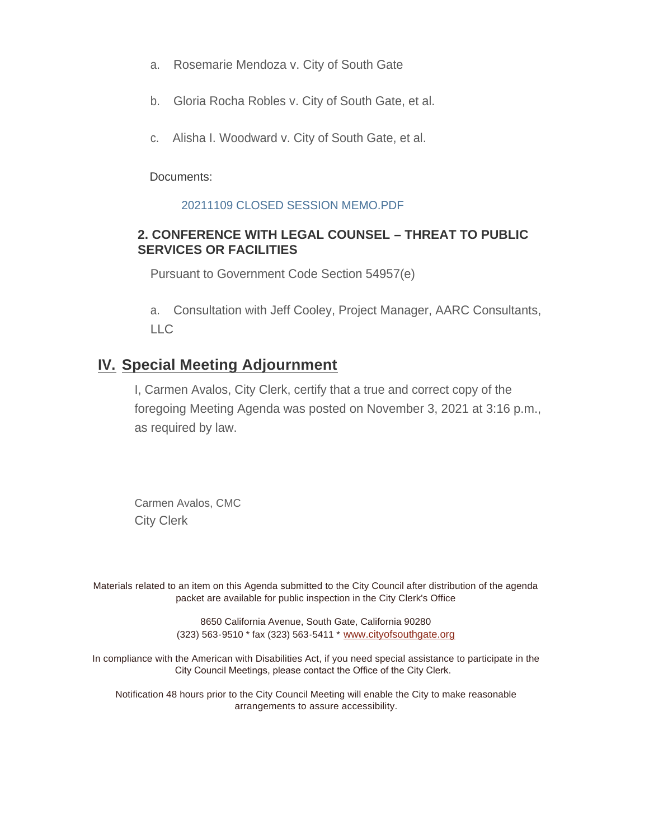- a. Rosemarie Mendoza v. City of South Gate
- b. Gloria Rocha Robles v. City of South Gate, et al.
- c. Alisha I. Woodward v. City of South Gate, et al.

Documents:

#### 20211109 CLOSED SESSION MEMO.PDF

#### **2. CONFERENCE WITH LEGAL COUNSEL – THREAT TO PUBLIC SERVICES OR FACILITIES**

Pursuant to Government Code Section 54957(e)

a. Consultation with Jeff Cooley, Project Manager, AARC Consultants, LLC

## **IV.** Special Meeting Adjournment

I, Carmen Avalos, City Clerk, certify that a true and correct copy of the foregoing Meeting Agenda was posted on November 3, 2021 at 3:16 p.m., as required by law.

Carmen Avalos, CMC City Clerk

Materials related to an item on this Agenda submitted to the City Council after distribution of the agenda packet are available for public inspection in the City Clerk's Office

> 8650 California Avenue, South Gate, California 90280 (323) 563-9510 \* fax (323) 563-5411 \* [www.cityofsouthgate.org](http://www.cityofsouthgate.org/)

In compliance with the American with Disabilities Act, if you need special assistance to participate in the City Council Meetings, please contact the Office of the City Clerk.

Notification 48 hours prior to the City Council Meeting will enable the City to make reasonable arrangements to assure accessibility.